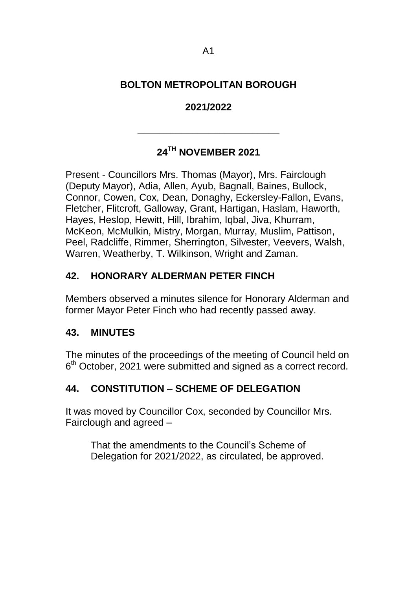# **BOLTON METROPOLITAN BOROUGH**

## **2021/2022**

# **24TH NOVEMBER 2021**

**\_\_\_\_\_\_\_\_\_\_\_\_\_\_\_\_\_\_\_\_\_\_\_\_\_\_**

Present - Councillors Mrs. Thomas (Mayor), Mrs. Fairclough (Deputy Mayor), Adia, Allen, Ayub, Bagnall, Baines, Bullock, Connor, Cowen, Cox, Dean, Donaghy, Eckersley-Fallon, Evans, Fletcher, Flitcroft, Galloway, Grant, Hartigan, Haslam, Haworth, Hayes, Heslop, Hewitt, Hill, Ibrahim, Iqbal, Jiva, Khurram, McKeon, McMulkin, Mistry, Morgan, Murray, Muslim, Pattison, Peel, Radcliffe, Rimmer, Sherrington, Silvester, Veevers, Walsh, Warren, Weatherby, T. Wilkinson, Wright and Zaman.

# **42. HONORARY ALDERMAN PETER FINCH**

Members observed a minutes silence for Honorary Alderman and former Mayor Peter Finch who had recently passed away.

### **43. MINUTES**

The minutes of the proceedings of the meeting of Council held on 6<sup>th</sup> October, 2021 were submitted and signed as a correct record.

### **44. CONSTITUTION – SCHEME OF DELEGATION**

It was moved by Councillor Cox, seconded by Councillor Mrs. Fairclough and agreed –

That the amendments to the Council's Scheme of Delegation for 2021/2022, as circulated, be approved.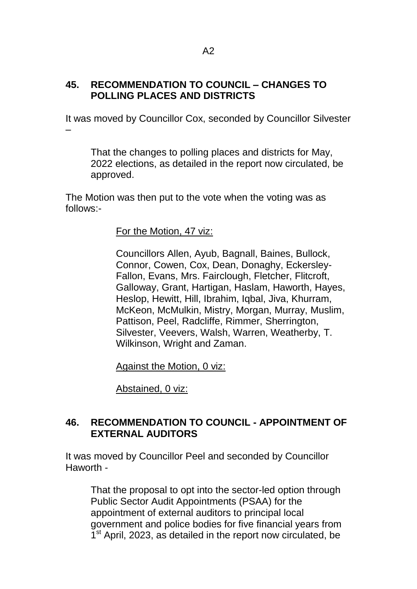### **45. RECOMMENDATION TO COUNCIL – CHANGES TO POLLING PLACES AND DISTRICTS**

It was moved by Councillor Cox, seconded by Councillor Silvester –

That the changes to polling places and districts for May, 2022 elections, as detailed in the report now circulated, be approved.

The Motion was then put to the vote when the voting was as follows:-

### For the Motion, 47 viz:

Councillors Allen, Ayub, Bagnall, Baines, Bullock, Connor, Cowen, Cox, Dean, Donaghy, Eckersley-Fallon, Evans, Mrs. Fairclough, Fletcher, Flitcroft, Galloway, Grant, Hartigan, Haslam, Haworth, Hayes, Heslop, Hewitt, Hill, Ibrahim, Iqbal, Jiva, Khurram, McKeon, McMulkin, Mistry, Morgan, Murray, Muslim, Pattison, Peel, Radcliffe, Rimmer, Sherrington, Silvester, Veevers, Walsh, Warren, Weatherby, T. Wilkinson, Wright and Zaman.

Against the Motion, 0 viz:

Abstained, 0 viz:

# **46. RECOMMENDATION TO COUNCIL - APPOINTMENT OF EXTERNAL AUDITORS**

It was moved by Councillor Peel and seconded by Councillor Haworth -

That the proposal to opt into the sector-led option through Public Sector Audit Appointments (PSAA) for the appointment of external auditors to principal local government and police bodies for five financial years from 1<sup>st</sup> April, 2023, as detailed in the report now circulated, be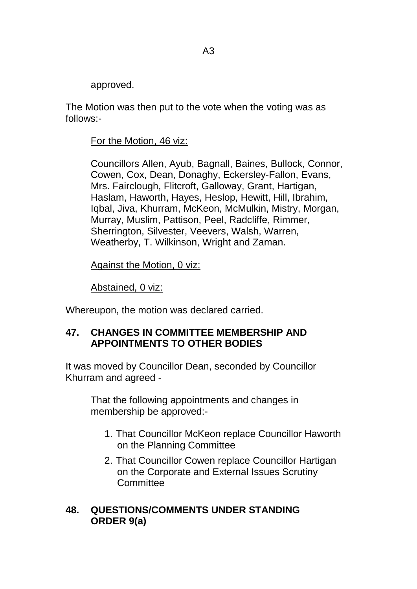approved.

The Motion was then put to the vote when the voting was as follows:-

#### For the Motion, 46 viz:

Councillors Allen, Ayub, Bagnall, Baines, Bullock, Connor, Cowen, Cox, Dean, Donaghy, Eckersley-Fallon, Evans, Mrs. Fairclough, Flitcroft, Galloway, Grant, Hartigan, Haslam, Haworth, Hayes, Heslop, Hewitt, Hill, Ibrahim, Iqbal, Jiva, Khurram, McKeon, McMulkin, Mistry, Morgan, Murray, Muslim, Pattison, Peel, Radcliffe, Rimmer, Sherrington, Silvester, Veevers, Walsh, Warren, Weatherby, T. Wilkinson, Wright and Zaman.

Against the Motion, 0 viz:

Abstained, 0 viz:

Whereupon, the motion was declared carried.

### **47. CHANGES IN COMMITTEE MEMBERSHIP AND APPOINTMENTS TO OTHER BODIES**

It was moved by Councillor Dean, seconded by Councillor Khurram and agreed -

That the following appointments and changes in membership be approved:-

- 1. That Councillor McKeon replace Councillor Haworth on the Planning Committee
- 2. That Councillor Cowen replace Councillor Hartigan on the Corporate and External Issues Scrutiny **Committee**

### **48. QUESTIONS/COMMENTS UNDER STANDING ORDER 9(a)**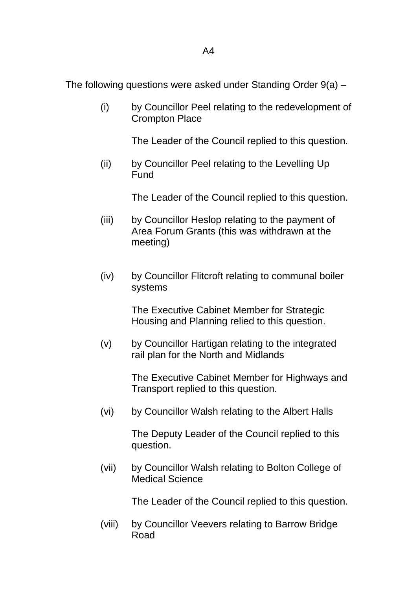The following questions were asked under Standing Order 9(a) –

(i) by Councillor Peel relating to the redevelopment of Crompton Place

The Leader of the Council replied to this question.

(ii) by Councillor Peel relating to the Levelling Up Fund

The Leader of the Council replied to this question.

- (iii) by Councillor Heslop relating to the payment of Area Forum Grants (this was withdrawn at the meeting)
- (iv) by Councillor Flitcroft relating to communal boiler systems

The Executive Cabinet Member for Strategic Housing and Planning relied to this question.

(v) by Councillor Hartigan relating to the integrated rail plan for the North and Midlands

> The Executive Cabinet Member for Highways and Transport replied to this question.

(vi) by Councillor Walsh relating to the Albert Halls

The Deputy Leader of the Council replied to this question.

(vii) by Councillor Walsh relating to Bolton College of Medical Science

The Leader of the Council replied to this question.

(viii) by Councillor Veevers relating to Barrow Bridge Road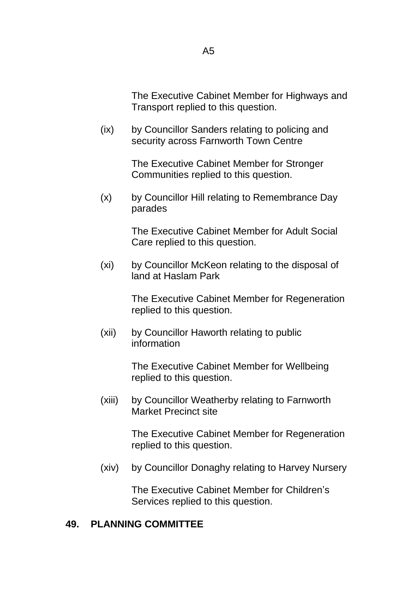The Executive Cabinet Member for Highways and Transport replied to this question.

(ix) by Councillor Sanders relating to policing and security across Farnworth Town Centre

> The Executive Cabinet Member for Stronger Communities replied to this question.

(x) by Councillor Hill relating to Remembrance Day parades

> The Executive Cabinet Member for Adult Social Care replied to this question.

(xi) by Councillor McKeon relating to the disposal of land at Haslam Park

> The Executive Cabinet Member for Regeneration replied to this question.

(xii) by Councillor Haworth relating to public information

> The Executive Cabinet Member for Wellbeing replied to this question.

(xiii) by Councillor Weatherby relating to Farnworth Market Precinct site

> The Executive Cabinet Member for Regeneration replied to this question.

(xiv) by Councillor Donaghy relating to Harvey Nursery

The Executive Cabinet Member for Children's Services replied to this question.

#### **49. PLANNING COMMITTEE**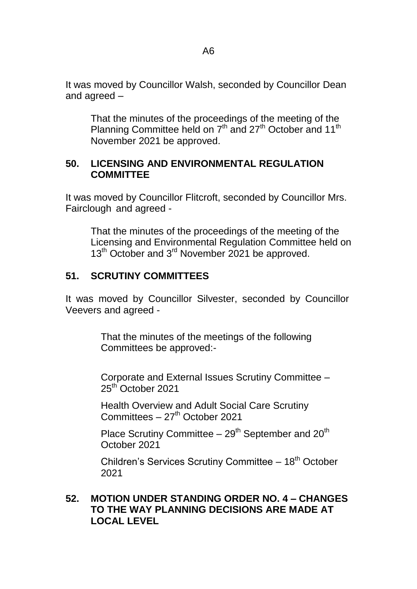It was moved by Councillor Walsh, seconded by Councillor Dean and agreed –

That the minutes of the proceedings of the meeting of the Planning Committee held on 7<sup>th</sup> and 27<sup>th</sup> October and 11<sup>th</sup> November 2021 be approved.

#### **50. LICENSING AND ENVIRONMENTAL REGULATION COMMITTEE**

It was moved by Councillor Flitcroft, seconded by Councillor Mrs. Fairclough and agreed -

That the minutes of the proceedings of the meeting of the Licensing and Environmental Regulation Committee held on 13<sup>th</sup> October and 3<sup>rd</sup> November 2021 be approved.

### **51. SCRUTINY COMMITTEES**

It was moved by Councillor Silvester, seconded by Councillor Veevers and agreed -

> That the minutes of the meetings of the following Committees be approved:-

Corporate and External Issues Scrutiny Committee – 25<sup>th</sup> October 2021

Health Overview and Adult Social Care Scrutiny Committees  $-27<sup>th</sup>$  October 2021

Place Scrutiny Committee  $-29<sup>th</sup>$  September and  $20<sup>th</sup>$ October 2021

Children's Services Scrutiny Committee  $-18<sup>th</sup>$  October 2021

### **52. MOTION UNDER STANDING ORDER NO. 4 – CHANGES TO THE WAY PLANNING DECISIONS ARE MADE AT LOCAL LEVEL**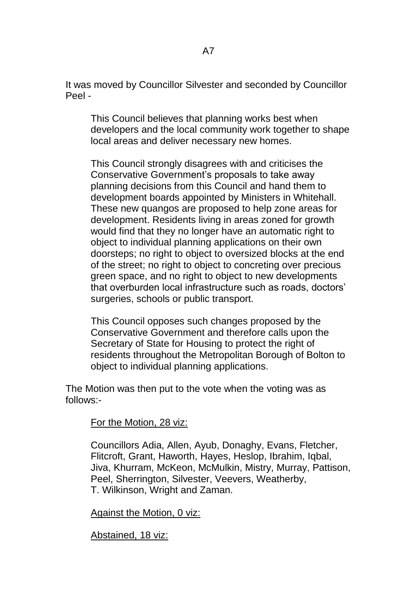It was moved by Councillor Silvester and seconded by Councillor Peel -

This Council believes that planning works best when developers and the local community work together to shape local areas and deliver necessary new homes.

This Council strongly disagrees with and criticises the Conservative Government's proposals to take away planning decisions from this Council and hand them to development boards appointed by Ministers in Whitehall. These new quangos are proposed to help zone areas for development. Residents living in areas zoned for growth would find that they no longer have an automatic right to object to individual planning applications on their own doorsteps; no right to object to oversized blocks at the end of the street; no right to object to concreting over precious green space, and no right to object to new developments that overburden local infrastructure such as roads, doctors' surgeries, schools or public transport.

This Council opposes such changes proposed by the Conservative Government and therefore calls upon the Secretary of State for Housing to protect the right of residents throughout the Metropolitan Borough of Bolton to object to individual planning applications.

The Motion was then put to the vote when the voting was as follows:-

For the Motion, 28 viz:

Councillors Adia, Allen, Ayub, Donaghy, Evans, Fletcher, Flitcroft, Grant, Haworth, Hayes, Heslop, Ibrahim, Iqbal, Jiva, Khurram, McKeon, McMulkin, Mistry, Murray, Pattison, Peel, Sherrington, Silvester, Veevers, Weatherby, T. Wilkinson, Wright and Zaman.

Against the Motion, 0 viz:

Abstained, 18 viz: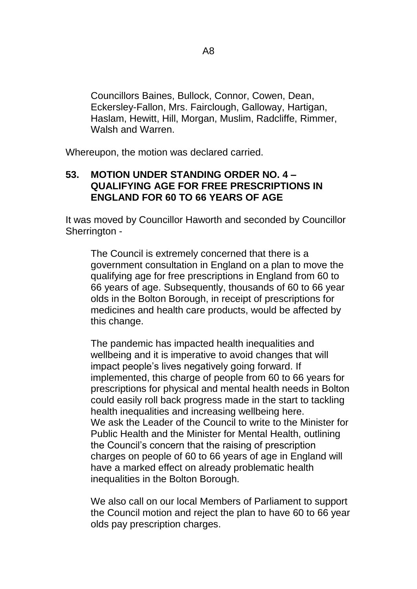Councillors Baines, Bullock, Connor, Cowen, Dean, Eckersley-Fallon, Mrs. Fairclough, Galloway, Hartigan, Haslam, Hewitt, Hill, Morgan, Muslim, Radcliffe, Rimmer, Walsh and Warren.

Whereupon, the motion was declared carried.

#### **53. MOTION UNDER STANDING ORDER NO. 4 – QUALIFYING AGE FOR FREE PRESCRIPTIONS IN ENGLAND FOR 60 TO 66 YEARS OF AGE**

It was moved by Councillor Haworth and seconded by Councillor Sherrington -

The Council is extremely concerned that there is a government consultation in England on a plan to move the qualifying age for free prescriptions in England from 60 to 66 years of age. Subsequently, thousands of 60 to 66 year olds in the Bolton Borough, in receipt of prescriptions for medicines and health care products, would be affected by this change.

The pandemic has impacted health inequalities and wellbeing and it is imperative to avoid changes that will impact people's lives negatively going forward. If implemented, this charge of people from 60 to 66 years for prescriptions for physical and mental health needs in Bolton could easily roll back progress made in the start to tackling health inequalities and increasing wellbeing here. We ask the Leader of the Council to write to the Minister for Public Health and the Minister for Mental Health, outlining the Council's concern that the raising of prescription charges on people of 60 to 66 years of age in England will have a marked effect on already problematic health inequalities in the Bolton Borough.

We also call on our local Members of Parliament to support the Council motion and reject the plan to have 60 to 66 year olds pay prescription charges.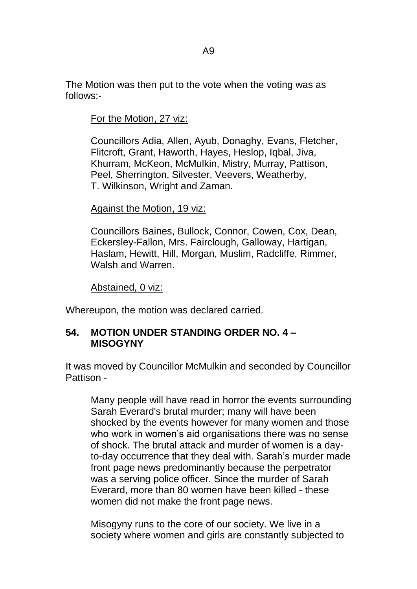The Motion was then put to the vote when the voting was as follows:-

For the Motion, 27 viz:

Councillors Adia, Allen, Ayub, Donaghy, Evans, Fletcher, Flitcroft, Grant, Haworth, Hayes, Heslop, Iqbal, Jiva, Khurram, McKeon, McMulkin, Mistry, Murray, Pattison, Peel, Sherrington, Silvester, Veevers, Weatherby, T. Wilkinson, Wright and Zaman.

### Against the Motion, 19 viz:

Councillors Baines, Bullock, Connor, Cowen, Cox, Dean, Eckersley-Fallon, Mrs. Fairclough, Galloway, Hartigan, Haslam, Hewitt, Hill, Morgan, Muslim, Radcliffe, Rimmer, Walsh and Warren.

Abstained, 0 viz:

Whereupon, the motion was declared carried.

# **54. MOTION UNDER STANDING ORDER NO. 4 – MISOGYNY**

It was moved by Councillor McMulkin and seconded by Councillor Pattison -

Many people will have read in horror the events surrounding Sarah Everard's brutal murder; many will have been shocked by the events however for many women and those who work in women's aid organisations there was no sense of shock. The brutal attack and murder of women is a dayto-day occurrence that they deal with. Sarah's murder made front page news predominantly because the perpetrator was a serving police officer. Since the murder of Sarah Everard, more than 80 women have been killed - these women did not make the front page news.

Misogyny runs to the core of our society. We live in a society where women and girls are constantly subjected to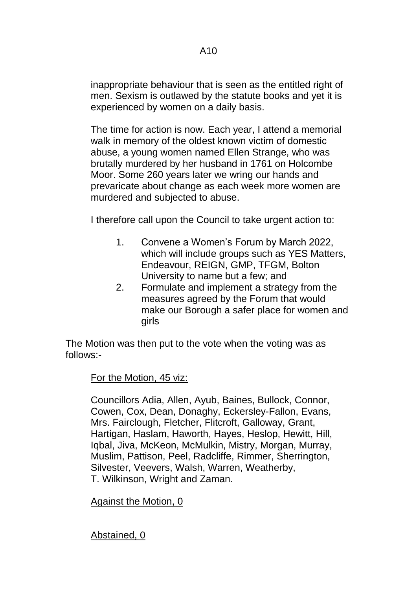inappropriate behaviour that is seen as the entitled right of men. Sexism is outlawed by the statute books and yet it is experienced by women on a daily basis.

The time for action is now. Each year, I attend a memorial walk in memory of the oldest known victim of domestic abuse, a young women named Ellen Strange, who was brutally murdered by her husband in 1761 on Holcombe Moor. Some 260 years later we wring our hands and prevaricate about change as each week more women are murdered and subjected to abuse.

I therefore call upon the Council to take urgent action to:

- 1. Convene a Women's Forum by March 2022, which will include groups such as YES Matters, Endeavour, REIGN, GMP, TFGM, Bolton University to name but a few; and
- 2. Formulate and implement a strategy from the measures agreed by the Forum that would make our Borough a safer place for women and girls

The Motion was then put to the vote when the voting was as follows:-

For the Motion, 45 viz:

Councillors Adia, Allen, Ayub, Baines, Bullock, Connor, Cowen, Cox, Dean, Donaghy, Eckersley-Fallon, Evans, Mrs. Fairclough, Fletcher, Flitcroft, Galloway, Grant, Hartigan, Haslam, Haworth, Hayes, Heslop, Hewitt, Hill, Iqbal, Jiva, McKeon, McMulkin, Mistry, Morgan, Murray, Muslim, Pattison, Peel, Radcliffe, Rimmer, Sherrington, Silvester, Veevers, Walsh, Warren, Weatherby, T. Wilkinson, Wright and Zaman.

### Against the Motion, 0

Abstained, 0